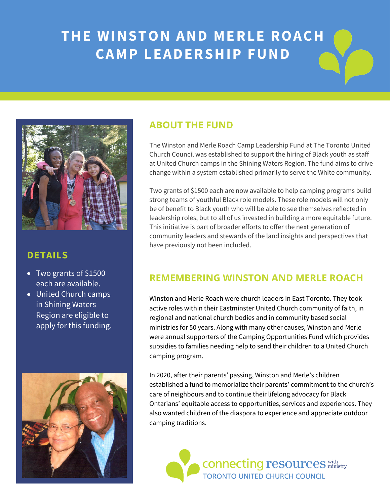## **THE WINSTON AND MERLE ROACH CAMP LEADERSHIP FUND**



### **DETAILS**

- $\overline{\bullet}$  Two grants of \$1500 each are available.
- United Church camps in Shining Waters Region are eligible to apply for this funding.



### **ABOUT THE FUND**

The Winston and Merle Roach Camp Leadership Fund at The Toronto United Church Council was established to support the hiring of Black youth as staff at United Church camps in the Shining Waters Region. The fund aims to drive change within a system established primarily to serve the White community.

Two grants of \$1500 each are now available to help camping programs build strong teams of youthful Black role models. These role models will not only be of benefit to Black youth who will be able to see themselves reflected in leadership roles, but to all of us invested in building a more equitable future. This initiative is part of broader efforts to offer the next generation of community leaders and stewards of the land insights and perspectives that have previously not been included.

### **REMEMBERING WINSTON AND MERLE ROACH**

Winston and Merle Roach were church leaders in East Toronto. They took active roles within their Eastminster United Church community of faith, in regional and national church bodies and in community based social ministries for 50 years. Along with many other causes, Winston and Merle were annual supporters of the Camping Opportunities Fund which provides subsidies to families needing help to send their children to a United Church camping program.

In 2020, after their parents' passing, Winston and Merle's children established a fund to memorialize their parents' commitment to the church's care of neighbours and to continue their lifelong advocacy for Black Ontarians' equitable access to opportunities, services and experiences. They also wanted children of the diaspora to experience and appreciate outdoor camping traditions.